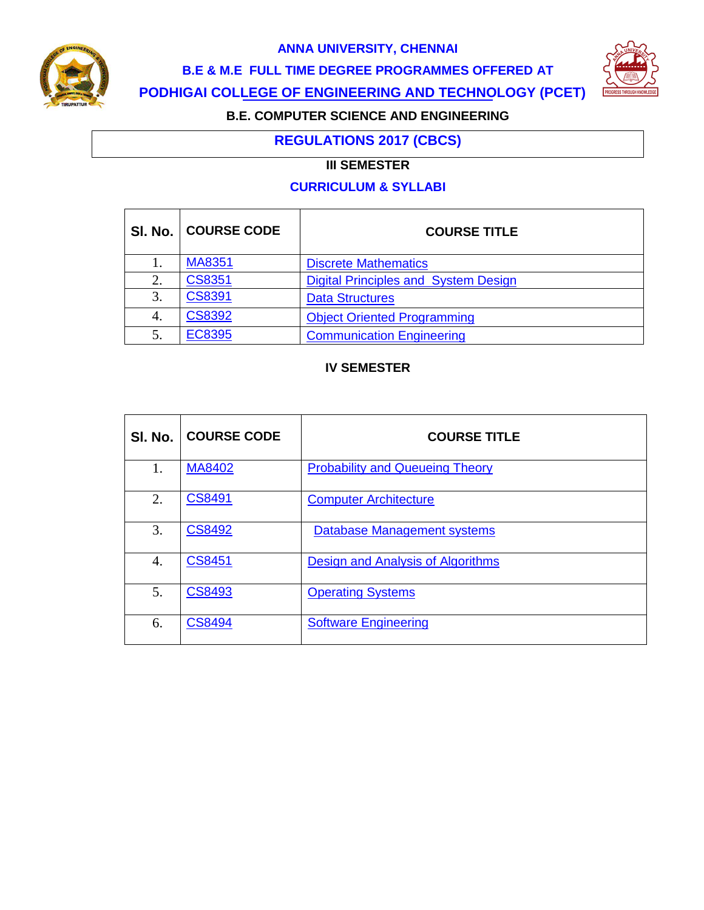

**ANNA UNIVERSITY, CHENNAI**

**B.E & M.E FULL TIME DEGREE PROGRAMMES OFFERED AT**



**PODHIGAI COLLEGE OF ENGINEERING AND TECHNOLOGY (PCET)**

# **B.E. COMPUTER SCIENCE AND ENGINEERING**

# **REGULATIONS 2017 (CBCS)**

#### **III SEMESTER**

### **CURRICULUM & SYLLABI**

|    | SI. No.   COURSE CODE | <b>COURSE TITLE</b>                         |
|----|-----------------------|---------------------------------------------|
|    | <b>MA8351</b>         | <b>Discrete Mathematics</b>                 |
| 2. | <b>CS8351</b>         | <b>Digital Principles and System Design</b> |
| 3. | <b>CS8391</b>         | <b>Data Structures</b>                      |
| 4. | <b>CS8392</b>         | <b>Object Oriented Programming</b>          |
|    | <b>EC8395</b>         | <b>Communication Engineering</b>            |

### **IV SEMESTER**

| SI. No. | <b>COURSE CODE</b> | <b>COURSE TITLE</b>                    |
|---------|--------------------|----------------------------------------|
| 1.      | <b>MA8402</b>      | <b>Probability and Queueing Theory</b> |
| 2.      | <b>CS8491</b>      | <b>Computer Architecture</b>           |
| 3.      | <b>CS8492</b>      | Database Management systems            |
| 4.      | <b>CS8451</b>      | Design and Analysis of Algorithms      |
| 5.      | <b>CS8493</b>      | <b>Operating Systems</b>               |
| 6.      | <b>CS8494</b>      | <b>Software Engineering</b>            |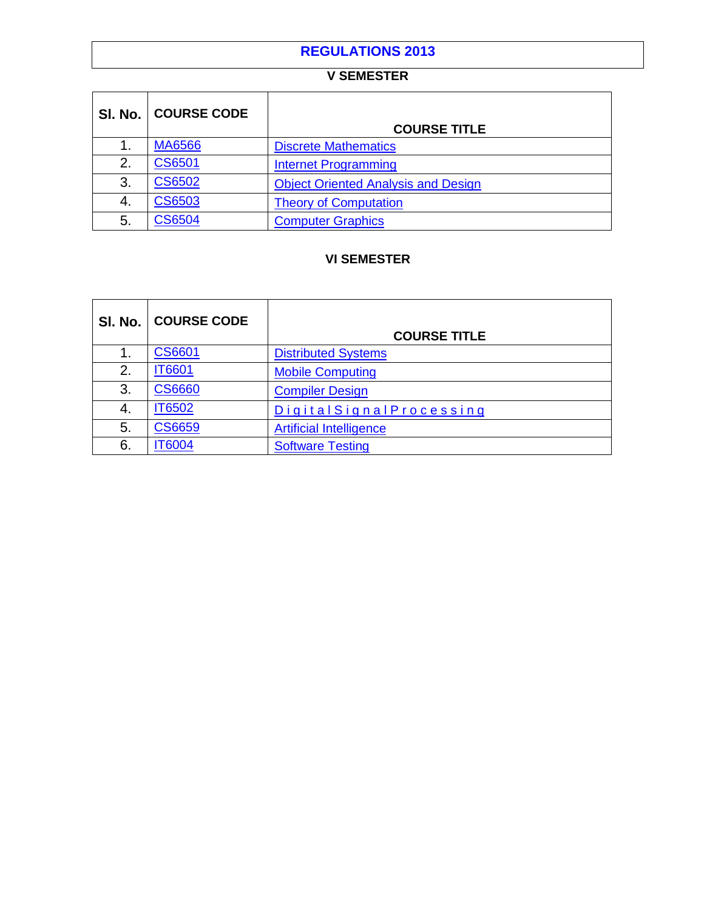## **REGULATIONS 2013**

## **V SEMESTER**

| SI. No. | <b>COURSE CODE</b> | <b>COURSE TITLE</b>                        |
|---------|--------------------|--------------------------------------------|
|         | <b>MA6566</b>      | <b>Discrete Mathematics</b>                |
| 2.      | <b>CS6501</b>      | <b>Internet Programming</b>                |
| 3.      | <b>CS6502</b>      | <b>Object Oriented Analysis and Design</b> |
| 4.      | <b>CS6503</b>      | <b>Theory of Computation</b>               |
| 5.      | <b>CS6504</b>      | <b>Computer Graphics</b>                   |

#### **VI SEMESTER**

|    | SI. No.   COURSE CODE | <b>COURSE TITLE</b>            |
|----|-----------------------|--------------------------------|
| 1. | <b>CS6601</b>         | <b>Distributed Systems</b>     |
| 2. | <b>IT6601</b>         | <b>Mobile Computing</b>        |
| 3. | <b>CS6660</b>         | <b>Compiler Design</b>         |
| 4. | <b>IT6502</b>         | DigitalSignalProcessing        |
| 5. | <b>CS6659</b>         | <b>Artificial Intelligence</b> |
| 6. | <b>IT6004</b>         | <b>Software Testing</b>        |